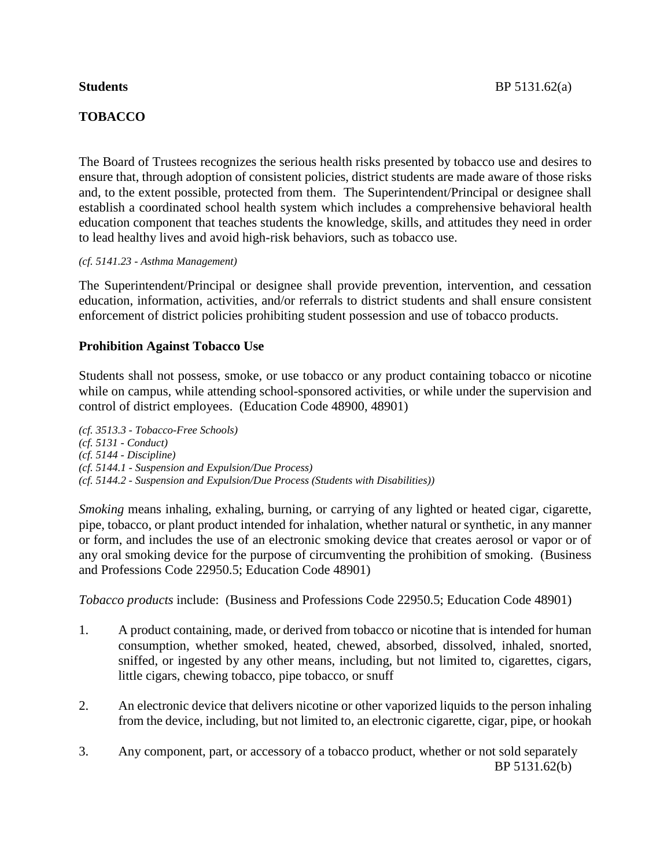# **TOBACCO**

The Board of Trustees recognizes the serious health risks presented by tobacco use and desires to ensure that, through adoption of consistent policies, district students are made aware of those risks and, to the extent possible, protected from them. The Superintendent/Principal or designee shall establish a coordinated school health system which includes a comprehensive behavioral health education component that teaches students the knowledge, skills, and attitudes they need in order to lead healthy lives and avoid high-risk behaviors, such as tobacco use.

### *(cf. 5141.23 - Asthma Management)*

The Superintendent/Principal or designee shall provide prevention, intervention, and cessation education, information, activities, and/or referrals to district students and shall ensure consistent enforcement of district policies prohibiting student possession and use of tobacco products.

## **Prohibition Against Tobacco Use**

Students shall not possess, smoke, or use tobacco or any product containing tobacco or nicotine while on campus, while attending school-sponsored activities, or while under the supervision and control of district employees. (Education Code 48900, 48901)

*(cf. 3513.3 - Tobacco-Free Schools) (cf. 5131 - Conduct) (cf. 5144 - Discipline) (cf. 5144.1 - Suspension and Expulsion/Due Process) (cf. 5144.2 - Suspension and Expulsion/Due Process (Students with Disabilities))*

*Smoking* means inhaling, exhaling, burning, or carrying of any lighted or heated cigar, cigarette, pipe, tobacco, or plant product intended for inhalation, whether natural or synthetic, in any manner or form, and includes the use of an electronic smoking device that creates aerosol or vapor or of any oral smoking device for the purpose of circumventing the prohibition of smoking. (Business and Professions Code 22950.5; Education Code 48901)

*Tobacco products* include: (Business and Professions Code 22950.5; Education Code 48901)

- 1. A product containing, made, or derived from tobacco or nicotine that is intended for human consumption, whether smoked, heated, chewed, absorbed, dissolved, inhaled, snorted, sniffed, or ingested by any other means, including, but not limited to, cigarettes, cigars, little cigars, chewing tobacco, pipe tobacco, or snuff
- 2. An electronic device that delivers nicotine or other vaporized liquids to the person inhaling from the device, including, but not limited to, an electronic cigarette, cigar, pipe, or hookah
- 3. Any component, part, or accessory of a tobacco product, whether or not sold separately BP 5131.62(b)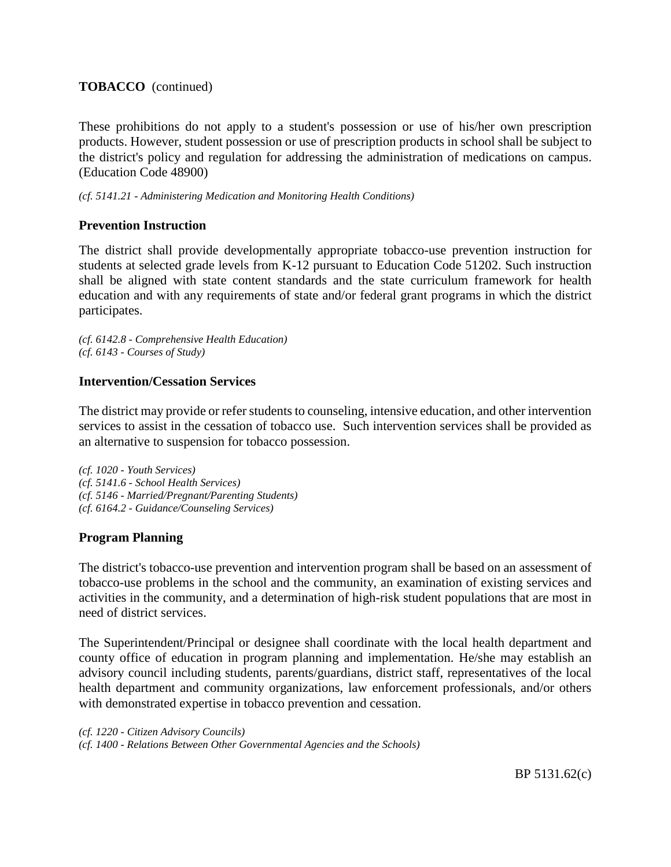# **TOBACCO** (continued)

These prohibitions do not apply to a student's possession or use of his/her own prescription products. However, student possession or use of prescription products in school shall be subject to the district's policy and regulation for addressing the administration of medications on campus. (Education Code 48900)

*(cf. 5141.21 - Administering Medication and Monitoring Health Conditions)*

# **Prevention Instruction**

The district shall provide developmentally appropriate tobacco-use prevention instruction for students at selected grade levels from K-12 pursuant to Education Code 51202. Such instruction shall be aligned with state content standards and the state curriculum framework for health education and with any requirements of state and/or federal grant programs in which the district participates.

*(cf. 6142.8 - Comprehensive Health Education) (cf. 6143 - Courses of Study)*

# **Intervention/Cessation Services**

The district may provide or refer students to counseling, intensive education, and other intervention services to assist in the cessation of tobacco use. Such intervention services shall be provided as an alternative to suspension for tobacco possession.

*(cf. 1020 - Youth Services) (cf. 5141.6 - School Health Services) (cf. 5146 - Married/Pregnant/Parenting Students) (cf. 6164.2 - Guidance/Counseling Services)*

# **Program Planning**

The district's tobacco-use prevention and intervention program shall be based on an assessment of tobacco-use problems in the school and the community, an examination of existing services and activities in the community, and a determination of high-risk student populations that are most in need of district services.

The Superintendent/Principal or designee shall coordinate with the local health department and county office of education in program planning and implementation. He/she may establish an advisory council including students, parents/guardians, district staff, representatives of the local health department and community organizations, law enforcement professionals, and/or others with demonstrated expertise in tobacco prevention and cessation.

```
(cf. 1220 - Citizen Advisory Councils)
(cf. 1400 - Relations Between Other Governmental Agencies and the Schools)
```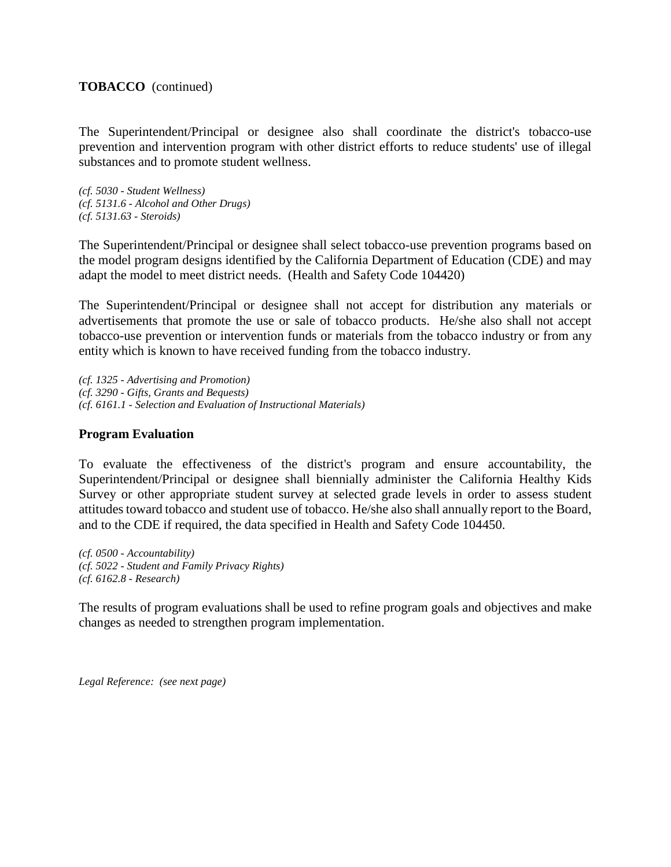## **TOBACCO** (continued)

The Superintendent/Principal or designee also shall coordinate the district's tobacco-use prevention and intervention program with other district efforts to reduce students' use of illegal substances and to promote student wellness.

*(cf. 5030 - Student Wellness) (cf. 5131.6 - Alcohol and Other Drugs) (cf. 5131.63 - Steroids)*

The Superintendent/Principal or designee shall select tobacco-use prevention programs based on the model program designs identified by the California Department of Education (CDE) and may adapt the model to meet district needs. (Health and Safety Code 104420)

The Superintendent/Principal or designee shall not accept for distribution any materials or advertisements that promote the use or sale of tobacco products. He/she also shall not accept tobacco-use prevention or intervention funds or materials from the tobacco industry or from any entity which is known to have received funding from the tobacco industry.

*(cf. 1325 - Advertising and Promotion) (cf. 3290 - Gifts, Grants and Bequests) (cf. 6161.1 - Selection and Evaluation of Instructional Materials)*

## **Program Evaluation**

To evaluate the effectiveness of the district's program and ensure accountability, the Superintendent/Principal or designee shall biennially administer the California Healthy Kids Survey or other appropriate student survey at selected grade levels in order to assess student attitudes toward tobacco and student use of tobacco. He/she also shall annually report to the Board, and to the CDE if required, the data specified in Health and Safety Code 104450.

*(cf. 0500 - Accountability) (cf. 5022 - Student and Family Privacy Rights) (cf. 6162.8 - Research)*

The results of program evaluations shall be used to refine program goals and objectives and make changes as needed to strengthen program implementation.

*Legal Reference: (see next page)*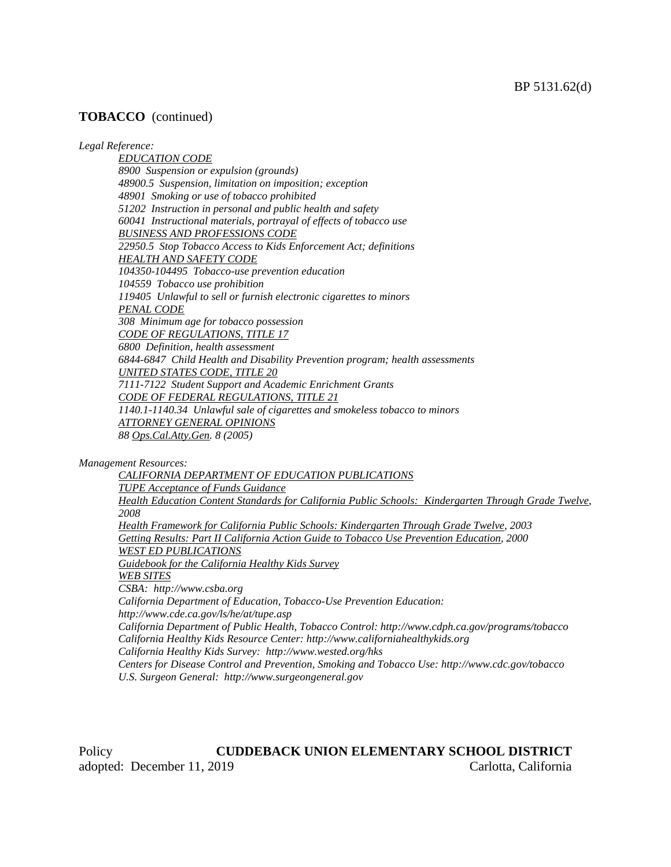### **TOBACCO** (continued)

#### *Legal Reference:*

*EDUCATION CODE 8900 Suspension or expulsion (grounds) 48900.5 Suspension, limitation on imposition; exception 48901 Smoking or use of tobacco prohibited 51202 Instruction in personal and public health and safety 60041 Instructional materials, portrayal of effects of tobacco use BUSINESS AND PROFESSIONS CODE 22950.5 Stop Tobacco Access to Kids Enforcement Act; definitions HEALTH AND SAFETY CODE 104350-104495 Tobacco-use prevention education 104559 Tobacco use prohibition 119405 Unlawful to sell or furnish electronic cigarettes to minors PENAL CODE 308 Minimum age for tobacco possession CODE OF REGULATIONS, TITLE 17 6800 Definition, health assessment 6844-6847 Child Health and Disability Prevention program; health assessments UNITED STATES CODE, TITLE 20 7111-7122 Student Support and Academic Enrichment Grants CODE OF FEDERAL REGULATIONS, TITLE 21 1140.1-1140.34 Unlawful sale of cigarettes and smokeless tobacco to minors ATTORNEY GENERAL OPINIONS 88 Ops.Cal.Atty.Gen. 8 (2005)*

*Management Resources:*

*CALIFORNIA DEPARTMENT OF EDUCATION PUBLICATIONS TUPE Acceptance of Funds Guidance Health Education Content Standards for California Public Schools: Kindergarten Through Grade Twelve, 2008 Health Framework for California Public Schools: Kindergarten Through Grade Twelve, 2003 Getting Results: Part II California Action Guide to Tobacco Use Prevention Education, 2000 WEST ED PUBLICATIONS Guidebook for the California Healthy Kids Survey WEB SITES CSBA: http://www.csba.org California Department of Education, Tobacco-Use Prevention Education: http://www.cde.ca.gov/ls/he/at/tupe.asp California Department of Public Health, Tobacco Control: http://www.cdph.ca.gov/programs/tobacco California Healthy Kids Resource Center: http://www.californiahealthykids.org California Healthy Kids Survey: http://www.wested.org/hks Centers for Disease Control and Prevention, Smoking and Tobacco Use: http://www.cdc.gov/tobacco U.S. Surgeon General: http://www.surgeongeneral.gov*

Policy **CUDDEBACK UNION ELEMENTARY SCHOOL DISTRICT** adopted: December 11, 2019 Carlotta, California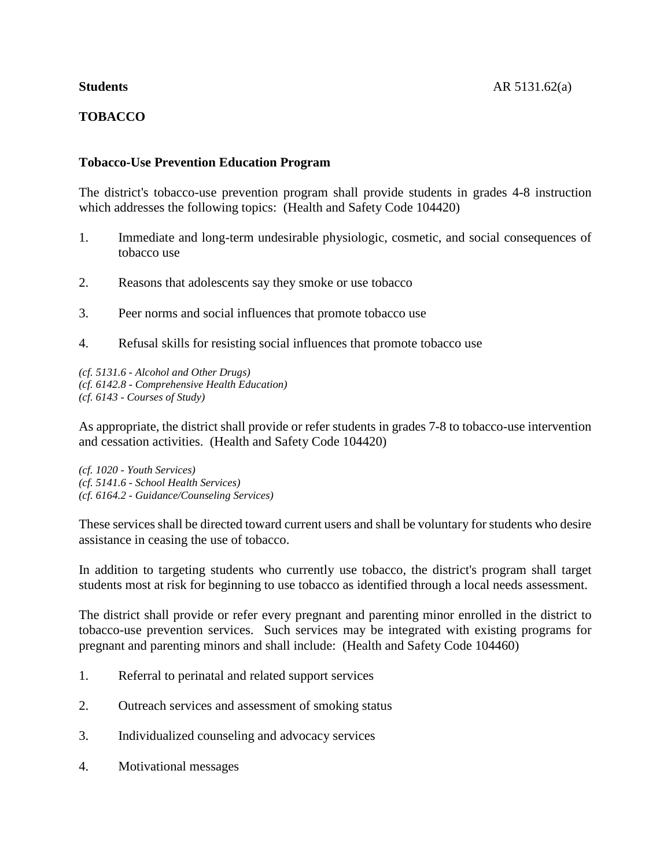# **TOBACCO**

## **Tobacco-Use Prevention Education Program**

The district's tobacco-use prevention program shall provide students in grades 4-8 instruction which addresses the following topics: (Health and Safety Code 104420)

- 1. Immediate and long-term undesirable physiologic, cosmetic, and social consequences of tobacco use
- 2. Reasons that adolescents say they smoke or use tobacco
- 3. Peer norms and social influences that promote tobacco use
- 4. Refusal skills for resisting social influences that promote tobacco use

*(cf. 5131.6 - Alcohol and Other Drugs) (cf. 6142.8 - Comprehensive Health Education) (cf. 6143 - Courses of Study)*

As appropriate, the district shall provide or refer students in grades 7-8 to tobacco-use intervention and cessation activities. (Health and Safety Code 104420)

*(cf. 1020 - Youth Services) (cf. 5141.6 - School Health Services) (cf. 6164.2 - Guidance/Counseling Services)*

These services shall be directed toward current users and shall be voluntary for students who desire assistance in ceasing the use of tobacco.

In addition to targeting students who currently use tobacco, the district's program shall target students most at risk for beginning to use tobacco as identified through a local needs assessment.

The district shall provide or refer every pregnant and parenting minor enrolled in the district to tobacco-use prevention services. Such services may be integrated with existing programs for pregnant and parenting minors and shall include: (Health and Safety Code 104460)

- 1. Referral to perinatal and related support services
- 2. Outreach services and assessment of smoking status
- 3. Individualized counseling and advocacy services
- 4. Motivational messages